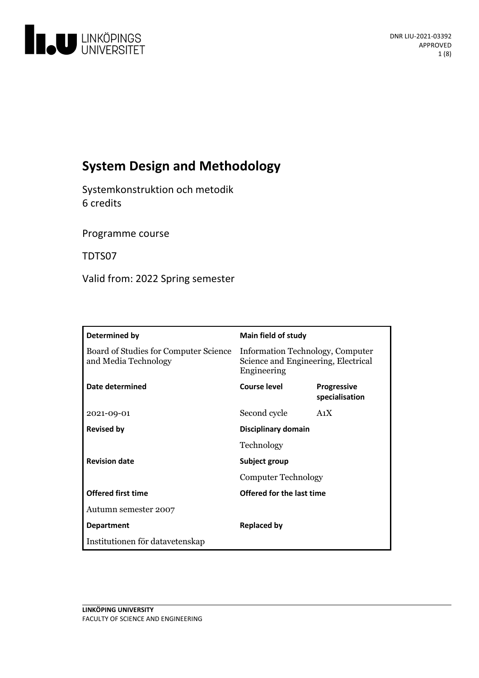

# **System Design and Methodology**

Systemkonstruktion och metodik 6 credits

Programme course

TDTS07

Valid from: 2022 Spring semester

| Determined by                                                 | <b>Main field of study</b>                                                             |                                      |
|---------------------------------------------------------------|----------------------------------------------------------------------------------------|--------------------------------------|
| Board of Studies for Computer Science<br>and Media Technology | Information Technology, Computer<br>Science and Engineering, Electrical<br>Engineering |                                      |
| Date determined                                               | Course level                                                                           | <b>Progressive</b><br>specialisation |
| 2021-09-01                                                    | Second cycle                                                                           | A <sub>1</sub> X                     |
| <b>Revised by</b>                                             | Disciplinary domain                                                                    |                                      |
|                                                               | Technology                                                                             |                                      |
| <b>Revision date</b>                                          | Subject group                                                                          |                                      |
|                                                               | Computer Technology                                                                    |                                      |
| <b>Offered first time</b>                                     | Offered for the last time                                                              |                                      |
| Autumn semester 2007                                          |                                                                                        |                                      |
| <b>Department</b>                                             | <b>Replaced by</b>                                                                     |                                      |
| Institutionen för datavetenskap                               |                                                                                        |                                      |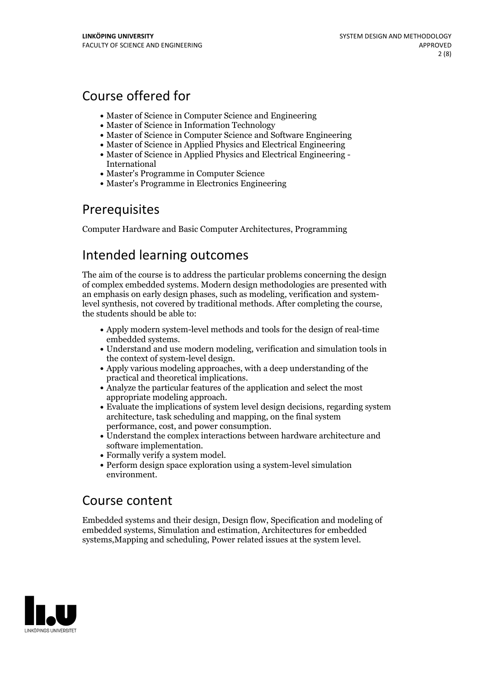# Course offered for

- Master of Science in Computer Science and Engineering
- Master of Science in Information Technology
- Master of Science in Computer Science and Software Engineering
- Master of Science in Applied Physics and Electrical Engineering
- Master of Science in Applied Physics and Electrical Engineering International
- Master's Programme in Computer Science
- Master's Programme in Electronics Engineering

## **Prerequisites**

Computer Hardware and Basic Computer Architectures, Programming

## Intended learning outcomes

The aim of the course is to address the particular problems concerning the design of complex embedded systems. Modern design methodologies are presented with an emphasis on early design phases, such as modeling, verification and systemlevel synthesis, not covered by traditional methods. After completing the course, the students should be able to:

- Apply modern system-level methods and tools for the design of real-time embedded systems. Understand and use modern modeling, verification and simulation tools in
- the context of system-level design.<br>• Apply various modeling approaches, with a deep understanding of the
- practical and theoretical implications.<br>• Analyze the particular features of the application and select the most
- appropriate modeling approach. Evaluate the implications of system level design decisions, regarding system
- architecture, task scheduling and mapping, on the final system performance, cost, and power consumption.
- Understand the complex interactions between hardware architecture and
- 
- Formally verify a system model.<br>• Perform design space exploration using a system-level simulation environment.

## Course content

Embedded systems and their design, Design flow, Specification and modeling of embedded systems, Simulation and estimation, Architectures for embedded systems,Mapping and scheduling, Power related issues at the system level.

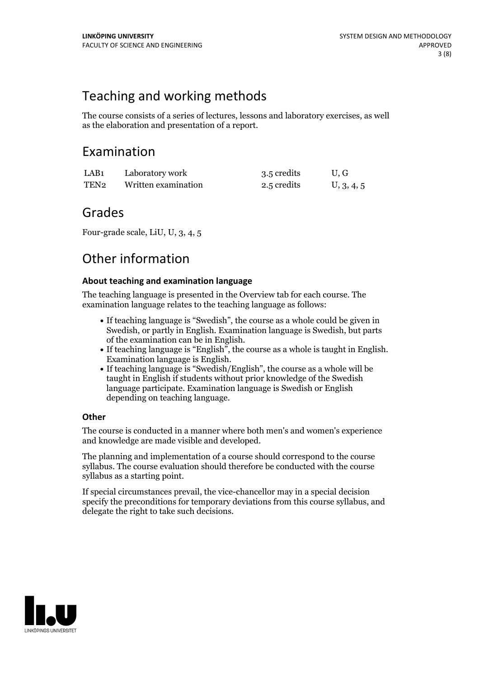# Teaching and working methods

The course consists of a series of lectures, lessons and laboratory exercises, as well as the elaboration and presentation of a report.

## Examination

| LAB1 | Laboratory work     | 3.5 credits | U.G        |
|------|---------------------|-------------|------------|
| TEN2 | Written examination | 2.5 credits | U, 3, 4, 5 |

## Grades

Four-grade scale, LiU, U, 3, 4, 5

# Other information

### **About teaching and examination language**

The teaching language is presented in the Overview tab for each course. The examination language relates to the teaching language as follows:

- If teaching language is "Swedish", the course as a whole could be given in Swedish, or partly in English. Examination language is Swedish, but parts
- If teaching language is "English", the course as a whole is taught in English. Examination language is English. If teaching language is "Swedish/English", the course as a whole will be
- taught in English if students without prior knowledge of the Swedish language participate. Examination language is Swedish or English depending on teaching language.

### **Other**

The course is conducted in a manner where both men's and women's experience and knowledge are made visible and developed.

The planning and implementation of a course should correspond to the course syllabus. The course evaluation should therefore be conducted with the course syllabus as a starting point.

If special circumstances prevail, the vice-chancellor may in a special decision specify the preconditions for temporary deviations from this course syllabus, and delegate the right to take such decisions.

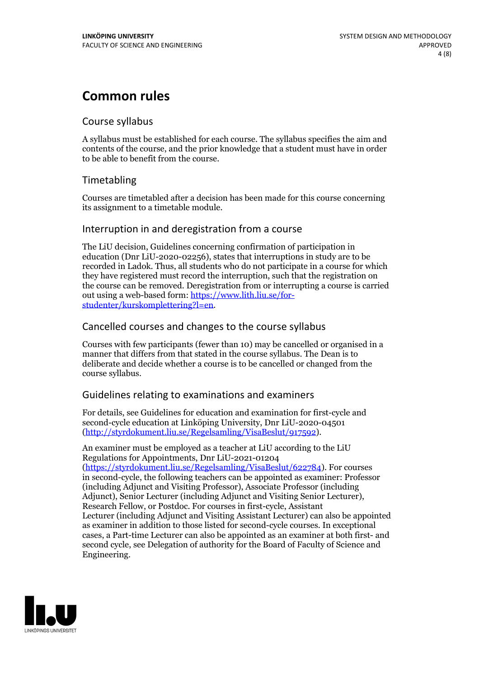## **Common rules**

### Course syllabus

A syllabus must be established for each course. The syllabus specifies the aim and contents of the course, and the prior knowledge that a student must have in order to be able to benefit from the course.

## Timetabling

Courses are timetabled after a decision has been made for this course concerning its assignment to a timetable module.

### Interruption in and deregistration from a course

The LiU decision, Guidelines concerning confirmation of participation in education (Dnr LiU-2020-02256), states that interruptions in study are to be recorded in Ladok. Thus, all students who do not participate in a course for which they have registered must record the interruption, such that the registration on the course can be removed. Deregistration from or interrupting a course is carried out using <sup>a</sup> web-based form: https://www.lith.liu.se/for- [studenter/kurskomplettering?l=en.](https://www.lith.liu.se/for-studenter/kurskomplettering?l=en)

## Cancelled courses and changes to the course syllabus

Courses with few participants (fewer than 10) may be cancelled or organised in a manner that differs from that stated in the course syllabus. The Dean is to deliberate and decide whether a course is to be cancelled or changed from the course syllabus.

## Guidelines relating to examinations and examiners

For details, see Guidelines for education and examination for first-cycle and second-cycle education at Linköping University, Dnr LiU-2020-04501 [\(http://styrdokument.liu.se/Regelsamling/VisaBeslut/917592\)](http://styrdokument.liu.se/Regelsamling/VisaBeslut/917592).

An examiner must be employed as a teacher at LiU according to the LiU Regulations for Appointments, Dnr LiU-2021-01204 [\(https://styrdokument.liu.se/Regelsamling/VisaBeslut/622784](https://styrdokument.liu.se/Regelsamling/VisaBeslut/622784)). For courses in second-cycle, the following teachers can be appointed as examiner: Professor (including Adjunct and Visiting Professor), Associate Professor (including Adjunct), Senior Lecturer (including Adjunct and Visiting Senior Lecturer), Research Fellow, or Postdoc. For courses in first-cycle, Assistant Lecturer (including Adjunct and Visiting Assistant Lecturer) can also be appointed as examiner in addition to those listed for second-cycle courses. In exceptional cases, a Part-time Lecturer can also be appointed as an examiner at both first- and second cycle, see Delegation of authority for the Board of Faculty of Science and Engineering.

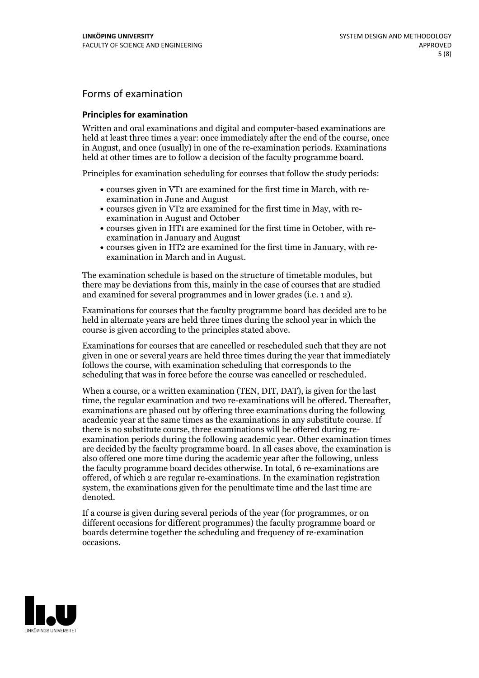## Forms of examination

#### **Principles for examination**

Written and oral examinations and digital and computer-based examinations are held at least three times a year: once immediately after the end of the course, once in August, and once (usually) in one of the re-examination periods. Examinations held at other times are to follow a decision of the faculty programme board.

Principles for examination scheduling for courses that follow the study periods:

- courses given in VT1 are examined for the first time in March, with re-examination in June and August
- courses given in VT2 are examined for the first time in May, with re-examination in August and October
- courses given in HT1 are examined for the first time in October, with re-examination in January and August
- courses given in HT2 are examined for the first time in January, with re-examination in March and in August.

The examination schedule is based on the structure of timetable modules, but there may be deviations from this, mainly in the case of courses that are studied and examined for several programmes and in lower grades (i.e. 1 and 2).

Examinations for courses that the faculty programme board has decided are to be held in alternate years are held three times during the school year in which the course is given according to the principles stated above.

Examinations for courses that are cancelled orrescheduled such that they are not given in one or several years are held three times during the year that immediately follows the course, with examination scheduling that corresponds to the scheduling that was in force before the course was cancelled or rescheduled.

When a course, or a written examination (TEN, DIT, DAT), is given for the last time, the regular examination and two re-examinations will be offered. Thereafter, examinations are phased out by offering three examinations during the following academic year at the same times as the examinations in any substitute course. If there is no substitute course, three examinations will be offered during re- examination periods during the following academic year. Other examination times are decided by the faculty programme board. In all cases above, the examination is also offered one more time during the academic year after the following, unless the faculty programme board decides otherwise. In total, 6 re-examinations are offered, of which 2 are regular re-examinations. In the examination registration system, the examinations given for the penultimate time and the last time are denoted.

If a course is given during several periods of the year (for programmes, or on different occasions for different programmes) the faculty programme board or boards determine together the scheduling and frequency of re-examination occasions.

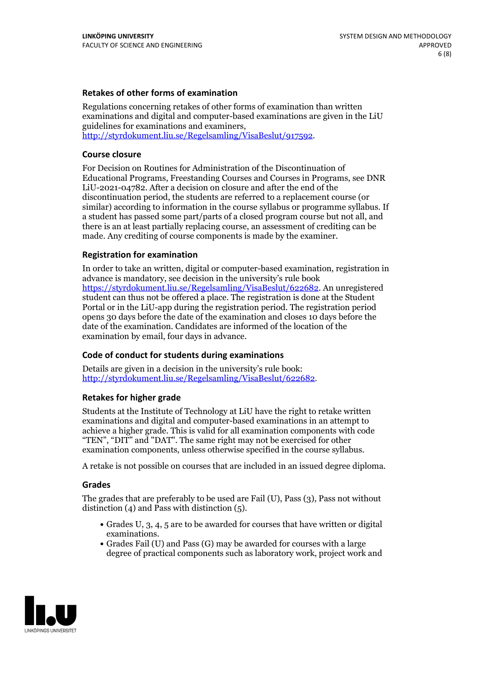### **Retakes of other forms of examination**

Regulations concerning retakes of other forms of examination than written examinations and digital and computer-based examinations are given in the LiU guidelines for examinations and examiners, [http://styrdokument.liu.se/Regelsamling/VisaBeslut/917592.](http://styrdokument.liu.se/Regelsamling/VisaBeslut/917592)

#### **Course closure**

For Decision on Routines for Administration of the Discontinuation of Educational Programs, Freestanding Courses and Courses in Programs, see DNR LiU-2021-04782. After a decision on closure and after the end of the discontinuation period, the students are referred to a replacement course (or similar) according to information in the course syllabus or programme syllabus. If a student has passed some part/parts of a closed program course but not all, and there is an at least partially replacing course, an assessment of crediting can be made. Any crediting of course components is made by the examiner.

### **Registration for examination**

In order to take an written, digital or computer-based examination, registration in advance is mandatory, see decision in the university's rule book [https://styrdokument.liu.se/Regelsamling/VisaBeslut/622682.](https://styrdokument.liu.se/Regelsamling/VisaBeslut/622682) An unregistered student can thus not be offered a place. The registration is done at the Student Portal or in the LiU-app during the registration period. The registration period opens 30 days before the date of the examination and closes 10 days before the date of the examination. Candidates are informed of the location of the examination by email, four days in advance.

### **Code of conduct for students during examinations**

Details are given in a decision in the university's rule book: <http://styrdokument.liu.se/Regelsamling/VisaBeslut/622682>.

#### **Retakes for higher grade**

Students at the Institute of Technology at LiU have the right to retake written examinations and digital and computer-based examinations in an attempt to achieve a higher grade. This is valid for all examination components with code "TEN", "DIT" and "DAT". The same right may not be exercised for other examination components, unless otherwise specified in the course syllabus.

A retake is not possible on courses that are included in an issued degree diploma.

#### **Grades**

The grades that are preferably to be used are Fail (U), Pass (3), Pass not without distinction  $(4)$  and Pass with distinction  $(5)$ .

- Grades U, 3, 4, 5 are to be awarded for courses that have written or digital examinations.<br>• Grades Fail (U) and Pass (G) may be awarded for courses with a large
- degree of practical components such as laboratory work, project work and

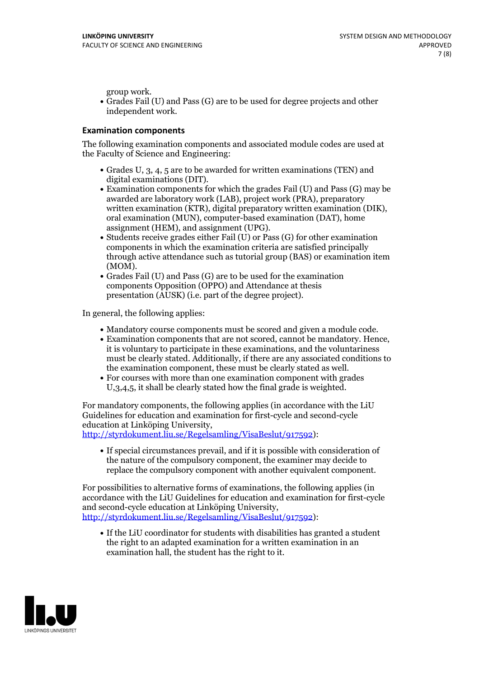group work.<br>• Grades Fail (U) and Pass (G) are to be used for degree projects and other independent work.

### **Examination components**

The following examination components and associated module codes are used at the Faculty of Science and Engineering:

- Grades U, 3, 4, 5 are to be awarded for written examinations (TEN) and
- digital examinations (DIT).<br>• Examination components for which the grades Fail (U) and Pass (G) may be awarded are laboratory work (LAB), project work (PRA), preparatory written examination (KTR), digital preparatory written examination (DIK), oral examination (MUN), computer-based examination (DAT), home
- assignment (HEM), and assignment (UPG).<br>• Students receive grades either Fail (U) or Pass (G) for other examination components in which the examination criteria are satisfied principally through active attendance such as tutorial group (BAS) or examination item
- (MOM).<br>• Grades Fail (U) and Pass (G) are to be used for the examination components Opposition (OPPO) and Attendance at thesis presentation (AUSK) (i.e. part of the degree project).

In general, the following applies:

- 
- Mandatory course components must be scored and given <sup>a</sup> module code. Examination components that are not scored, cannot be mandatory. Hence, it is voluntary to participate in these examinations, and the voluntariness must be clearly stated. Additionally, if there are any associated conditions to
- the examination component, these must be clearly stated as well.<br>• For courses with more than one examination component with grades U,3,4,5, it shall be clearly stated how the final grade is weighted.

For mandatory components, the following applies (in accordance with the LiU Guidelines for education and examination for first-cycle and second-cycle education at Linköping University,<br>[http://styrdokument.liu.se/Regelsamling/VisaBeslut/917592\)](http://styrdokument.liu.se/Regelsamling/VisaBeslut/917592):

If special circumstances prevail, and if it is possible with consideration of the nature of the compulsory component, the examiner may decide to replace the compulsory component with another equivalent component.

For possibilities to alternative forms of examinations, the following applies (in accordance with the LiU Guidelines for education and examination for first-cycle [http://styrdokument.liu.se/Regelsamling/VisaBeslut/917592\)](http://styrdokument.liu.se/Regelsamling/VisaBeslut/917592):

If the LiU coordinator for students with disabilities has granted a student the right to an adapted examination for a written examination in an examination hall, the student has the right to it.